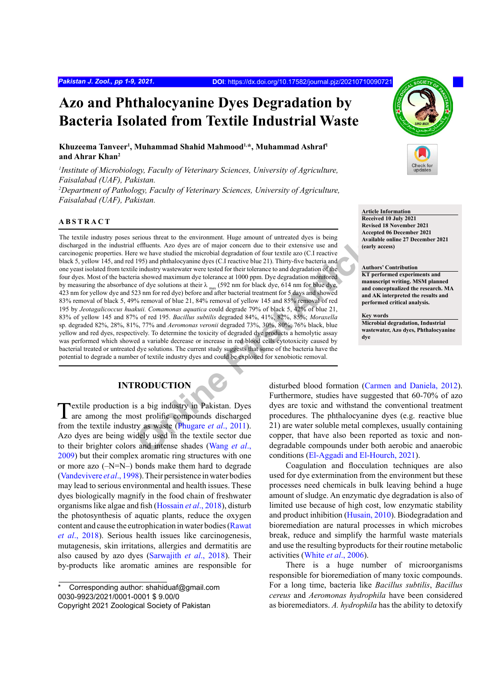# **Azo and Phthalocyanine Dyes Degradation by Bacteria Isolated from Textile Industrial Waste**

**Khuzeema Tanveer1 , Muhammad Shahid Mahmood1,\*, Muhammad Ashraf1 and Ahrar Khan2**

*1 Institute of Microbiology, Faculty of Veterinary Sciences, University of Agriculture, Faisalabad (UAF), Pakistan. 2 Department of Pathology, Faculty of Veterinary Sciences, University of Agriculture, Faisalabad (UAF), Pakistan.*

#### **ABSTRACT**

From the mevintum that the environment. Huge amount of untertable dyes is being<br>
e effluents. Azo dyes are of major concern due to their extensive use and<br>
ve have studied the microbial degradation of four textile azo (C.I The textile industry poses serious threat to the environment. Huge amount of untreated dyes is being discharged in the industrial effluents. Azo dyes are of major concern due to their extensive use and carcinogenic properties. Here we have studied the microbial degradation of four textile azo (C.I reactive black 5, yellow 145, and red 195) and phthalocyanine dyes (C.I reactive blue 21). Thirty-five bacteria and one yeast isolated from textile industry wastewater were tested for their tolerance to and degradation of the four dyes. Most of the bacteria showed maximum dye tolerance at 1000 ppm. Dye degradation monitored by measuring the absorbance of dye solutions at their  $\lambda_{\text{max}}$  (592 nm for black dye, 614 nm for blue dye, 423 nm for yellow dye and 523 nm for red dye) before and after bacterial treatment for 5 days and showed 83% removal of black 5, 49% removal of blue 21, 84% removal of yellow 145 and 85% removal of red 195 by *Jeotagalicoccus huakuii. Comamonas aquatica* could degrade 79% of black 5, 42% of blue 21, 83% of yellow 145 and 87% of red 195. *Bacillus subtilis* degraded 84%, 41%, 82%, 85%; *Moraxella* sp. degraded 82%, 28%, 81%, 77% and *Aeromonas veronii* degraded 73%, 30%, 80%, 76% black, blue yellow and red dyes, respectively. To determine the toxicity of degraded dye products a hemolytic assay was performed which showed a variable decrease or increase in red blood cells cytotoxicity caused by bacterial treated or untreated dye solutions. The current study suggests that some of the bacteria have the potential to degrade a number of textile industry dyes and could be exploited for xenobiotic removal.

# **INTRODUCTION**

Textile production is a big industry in Pakistan. Dyes are among the most prolific compounds discharged from the textile industry as waste (Phugare *et al*., 2011). Azo dyes are being widely used in the textile sector due to their brighter colors and intense shades (Wang *et al*., [2009](#page-8-0)) but their complex aromatic ring structures with one or more azo (–N=N–) bonds make them hard to degrade ([Vandevivere](#page-8-1) *et al*., 1998). Their persistence in water bodies may lead to serious environmental and health issues. These dyes biologically magnify in the food chain of freshwater organisms like algae and fish ([Hossain](#page-7-1) *et al*., 2018), disturb the photosynthesis of aquatic plants, reduce the oxygen content and cause the eutrophication in water bodies ([Rawat](#page-7-2) *et al*[., 2018](#page-7-2)). Serious health issues like carcinogenesis, mutagenesis, skin irritations, allergies and dermatitis are also caused by azo dyes ([Sarwajith](#page-7-3) *et al*., 2018). Their by-products like aromatic amines are responsible for



**Article Information Received 10 July 2021 Revised 18 November 2021 Accepted 06 December 2021 Available online 27 December 2021 (early access)**

#### **Authors' Contribution**

**KT performed experiments and manuscript writing. MSM planned and conceptualized the research. MA and AK interpreted the results and performed critical analysis.**

**Key words Microbial degradation, Industrial wastewater, Azo dyes, Phthalocyanine dye**

disturbed blood formation ([Carmen and Daniela, 2012](#page-6-0)). Furthermore, studies have suggested that 60-70% of azo dyes are toxic and withstand the conventional treatment procedures. The phthalocyanine dyes (e.g. reactive blue 21) are water soluble metal complexes, usually containing copper, that have also been reported as toxic and nondegradable compounds under both aerobic and anaerobic conditions [\(El-Aggadi and El-Hourch, 2021](#page-6-1)).

Coagulation and flocculation techniques are also used for dye extermination from the environment but these processes need chemicals in bulk leaving behind a huge amount of sludge. An enzymatic dye degradation is also of limited use because of high cost, low enzymatic stability and product inhibition (Husain, 2010). Biodegradation and bioremediation are natural processes in which microbes break, reduce and simplify the harmful waste materials and use the resulting byproducts for their routine metabolic activities (White *et al*[., 2006](#page-8-2)).

There is a huge number of microorganisms responsible for bioremediation of many toxic compounds. For a long time, bacteria like *Bacillus subtilis*, *Bacillus cereus* and *Aeromonas hydrophila* have been considered as bioremediators. *A. hydrophila* has the ability to detoxify

Corresponding author: shahiduaf@gmail.com 0030-9923/2021/0001-0001 \$ 9.00/0 Copyright 2021 Zoological Society of Pakistan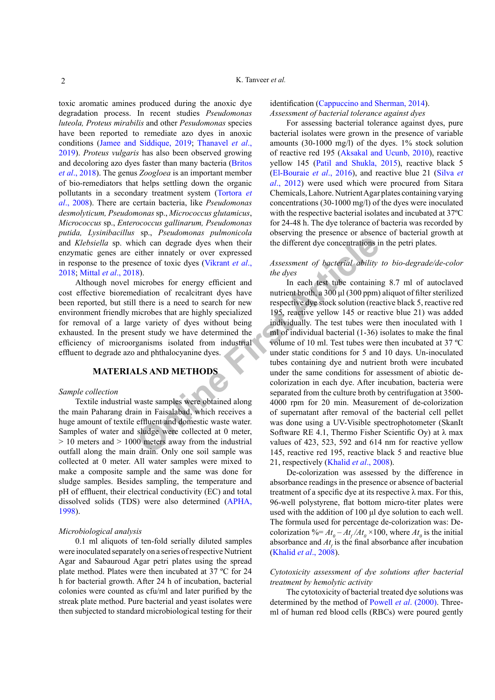toxic aromatic amines produced during the anoxic dye degradation process. In recent studies *Pseudomonas luteola, Proteus mirabilis* and other *Pesudomonas* species have been reported to remediate azo dyes in anoxic conditions [\(Jamee and Siddique, 2019](#page-7-4); [Thanavel](#page-8-3) *et al*., [2019](#page-8-3)). *Proteus vulgaris* has also been observed growing and decoloring azo dyes faster than many bacteria ([Britos](#page-6-2) *et al*[., 2018](#page-6-2)). The genus *Zoogloea* is an important member of bio-remediators that helps settling down the organic pollutants in a secondary treatment system ([Tortora](#page-8-4) *et al*[., 2008](#page-8-4)). There are certain bacteria, like *Pseudomonas desmolyticum, Pseudomonas* sp., *Micrococcus glutamicus*, *Micrococcus* sp., *Enterococcus gallinarum, Pseudomonas putida, Lysinibacillus* sp., *Pseudomonas pulmonicola* and *Klebsiella* sp. which can degrade dyes when their enzymatic genes are either innately or over expressed in response to the presence of toxic dyes (Vikrant *et al*., [2018;](#page-8-5) Mittal *et al*[., 2018](#page-7-5)).

Although novel microbes for energy efficient and cost effective bioremediation of recalcitrant dyes have been reported, but still there is a need to search for new environment friendly microbes that are highly specialized for removal of a large variety of dyes without being exhausted. In the present study we have determined the efficiency of microorganisms isolated from industrial effluent to degrade azo and phthalocyanine dyes.

# **MATERIALS AND METHODS**

#### *Sample collection*

Textile industrial waste samples were obtained along the main Paharang drain in Faisalabad, which receives a huge amount of textile effluent and domestic waste water. Samples of water and sludge were collected at 0 meter,  $> 10$  meters and  $> 1000$  meters away from the industrial outfall along the main drain. Only one soil sample was collected at 0 meter. All water samples were mixed to make a composite sample and the same was done for sludge samples. Besides sampling, the temperature and pH of effluent, their electrical conductivity (EC) and total dissolved solids (TDS) were also determined [\(APHA,](#page-6-3) [1998\)](#page-6-3).

#### *Microbiological analysis*

0.1 ml aliquots of ten-fold serially diluted samples were inoculated separately on a series of respective Nutrient Agar and Sabauroud Agar petri plates using the spread plate method. Plates were then incubated at 37 ºC for 24 h for bacterial growth. After 24 h of incubation, bacterial colonies were counted as cfu/ml and later purified by the streak plate method. Pure bacterial and yeast isolates were then subjected to standard microbiological testing for their

### identification [\(Cappuccino and Sherman, 2014](#page-6-4)). *Assessment of bacterial tolerance against dyes*

For assessing bacterial tolerance against dyes, pure bacterial isolates were grown in the presence of variable amounts (30-1000 mg/l) of the dyes. 1% stock solution of reactive red 195 ([Aksakal and Ucunb, 2010](#page-6-5)), reactive yellow 145 [\(Patil and Shukla, 2015](#page-7-6)), reactive black 5 [\(El-Bouraie](#page-6-6) *et al*., 2016), and reactive blue 21 (Silva *et al*., 2012) were used which were procured from Sitara Chemicals, Lahore. Nutrient Agar plates containing varying concentrations (30-1000 mg/l) of the dyes were inoculated with the respective bacterial isolates and incubated at 37ºC for 24-48 h. The dye tolerance of bacteria was recorded by observing the presence or absence of bacterial growth at the different dye concentrations in the petri plates.

# *Assessment of bacterial ability to bio-degrade/de-color the dyes*

Figure 11 and degrade the solution of recalcitant external to the different dye concentrations is<br>
interdeffect in the different dye concentrations is<br>
in each text tube concentrations is<br>
in each text tube containing<br>
ali In each test tube containing 8.7 ml of autoclaved nutrient broth, a 300 μl (300 ppm) aliquot of filter sterilized respective dye stock solution (reactive black 5, reactive red 195, reactive yellow 145 or reactive blue 21) was added individually. The test tubes were then inoculated with 1 ml of individual bacterial (1-36) isolates to make the final volume of 10 ml. Test tubes were then incubated at 37 ºC under static conditions for 5 and 10 days. Un-inoculated tubes containing dye and nutrient broth were incubated under the same conditions for assessment of abiotic decolorization in each dye. After incubation, bacteria were separated from the culture broth by centrifugation at 3500- 4000 rpm for 20 min. Measurement of de-colorization of supernatant after removal of the bacterial cell pellet was done using a UV-Visible spectrophotometer (SkanIt Software RE 4.1, Thermo Fisher Scientific Oy) at  $\lambda$  max values of 423, 523, 592 and 614 nm for reactive yellow 145, reactive red 195, reactive black 5 and reactive blue 21, respectively ([Khalid](#page-7-7) *et al*., 2008).

> De-colorization was assessed by the difference in absorbance readings in the presence or absence of bacterial treatment of a specific dye at its respective  $\lambda$  max. For this, 96-well polystyrene, flat bottom micro-titer plates were used with the addition of 100 μl dye solution to each well. The formula used for percentage de-colorization was: Decolorization  $\% = At_0 - At_f/At_0 \times 100$ , where  $At_0$  is the initial absorbance and  $At<sub>c</sub>$  is the final absorbance after incubation ([Khalid](#page-7-7) *et al*., 2008).

# *Cytotoxicity assessment of dye solutions after bacterial treatment by hemolytic activity*

The cytotoxicity of bacterial treated dye solutions was determined by the method of Powell *et al*[. \(2000\)](#page-7-8). Threeml of human red blood cells (RBCs) were poured gently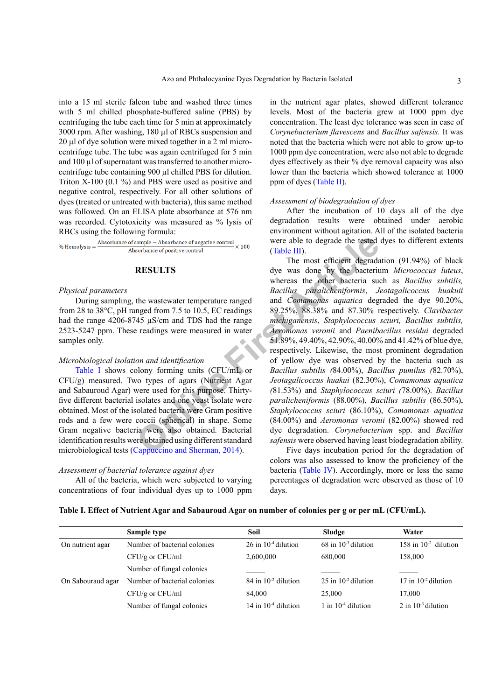into a 15 ml sterile falcon tube and washed three times with 5 ml chilled phosphate-buffered saline (PBS) by centrifuging the tube each time for 5 min at approximately 3000 rpm. After washing, 180 µl of RBCs suspension and 20 µl of dye solution were mixed together in a 2 ml microcentrifuge tube. The tube was again centrifuged for 5 min and 100 µl of supernatant was transferred to another microcentrifuge tube containing 900 µl chilled PBS for dilution. Triton X-100 (0.1 %) and PBS were used as positive and negative control, respectively. For all other solutions of dyes (treated or untreated with bacteria), this same method was followed. On an ELISA plate absorbance at 576 nm was recorded. Cytotoxicity was measured as % lysis of RBCs using the following formula:

#### **RESULTS**

#### *Physical parameters*

During sampling, the wastewater temperature ranged from 28 to 38°C, pH ranged from 7.5 to 10.5, EC readings had the range 4206-8745 µS/cm and TDS had the range 2523-5247 ppm. These readings were measured in water samples only.

#### *Microbiological isolation and identification*

[Table I](#page-2-0) shows colony forming units (CFU/mL or CFU/g) measured. Two types of agars (Nutrient Agar and Sabauroud Agar) were used for this purpose. Thirtyfive different bacterial isolates and one yeast isolate were obtained. Most of the isolated bacteria were Gram positive rods and a few were coccii (spherical) in shape. Some Gram negative bacteria were also obtained. Bacterial identification results were obtained using different standard microbiological tests (Cappuccino and Sherman, 2014).

#### *Assessment of bacterial tolerance against dyes*

All of the bacteria, which were subjected to varying concentrations of four individual dyes up to 1000 ppm

in the nutrient agar plates, showed different tolerance levels. Most of the bacteria grew at 1000 ppm dye concentration. The least dye tolerance was seen in case of *Corynebacterium flavescens* and *Bacillus safensis.* It was noted that the bacteria which were not able to grow up-to 1000 ppm dye concentration, were also not able to degrade dyes effectively as their % dye removal capacity was also lower than the bacteria which showed tolerance at 1000 ppm of dyes [\(Table II](#page-3-0)).

#### *Assessment of biodegradation of dyes*

After the incubation of 10 days all of the dye degradation results were obtained under aerobic environment without agitation. All of the isolated bacteria were able to degrade the tested dyes to different extents (Table III).

**EXECUTS**<br>
Sorbance of positive control<br>
Sorbance of positive control<br>
The most efficient degrade<br> [O](#page-6-4)racle III). The most efficient degrade<br>
(Table III). The most efficient degrade<br>
the wasteventer temperature ranged<br>
the w The most efficient degradation (91.94%) of black dye was done by the bacterium *Micrococcus luteus*, whereas the other bacteria such as *Bacillus subtilis, Bacillus paralicheniformis*, *Jeotagalicoccus huakuii* and *Comamonas aquatica* degraded the dye 90.20%, 89.25%, 88.38% and 87.30% respectively. *Clavibacter michiganensis*, *Staphylococcus sciuri, Bacillus subtilis, Aeromonas veronii* and *Paenibacillus residui* degraded 51.89%, 49.40%, 42.90%, 40.00% and 41.42% of blue dye, respectively. Likewise, the most prominent degradation of yellow dye was observed by the bacteria such as *Bacillus subtilis (*84.00%), *Bacillus pumilus (*82.70%), *Jeotagalicoccus huakui* (82.30%), *Comamonas aquatica (*81.53%) and *Staphylococcus sciuri (*78.00%). *Bacillus paralicheniformis* (88.00%), *Bacillus subtilis* (86.50%), *Staphylococcus sciuri* (86.10%), *Comamonas aquatica* (84.00%) and *Aeromonas veronii* (82.00%) showed red dye degradation. *Corynebacterium* spp. and *Bacillus safensis* were observed having least biodegradation ability.

Five days incubation period for the degradation of colors was also assessed to know the proficiency of the bacteria ([Table IV](#page-4-0)). Accordingly, more or less the same percentages of degradation were observed as those of 10 days.

<span id="page-2-0"></span>

|  |  |  | Table I. Effect of Nutrient Agar and Sabauroud Agar on number of colonies per g or per mL (CFU/mL). |  |  |
|--|--|--|-----------------------------------------------------------------------------------------------------|--|--|
|--|--|--|-----------------------------------------------------------------------------------------------------|--|--|

|                   | Sample type                  | Soil                       | Sludge                     | Water                      |
|-------------------|------------------------------|----------------------------|----------------------------|----------------------------|
| On nutrient agar  | Number of bacterial colonies | $26$ in $10^{-4}$ dilution | $68$ in $10^{-3}$ dilution | 158 in $10^{-2}$ dilution  |
|                   | $CFU/g$ or $CFU/ml$          | 2,600,000                  | 680,000                    | 158,000                    |
|                   | Number of fungal colonies    |                            |                            |                            |
| On Sabouraud agar | Number of bacterial colonies | $84$ in $10^{-2}$ dilution | $25$ in $10^{-2}$ dilution | $17$ in $10^{-2}$ dilution |
|                   | $CFU/g$ or $CFU/ml$          | 84,000                     | 25,000                     | 17,000                     |
|                   | Number of fungal colonies    | $14$ in $10^{-4}$ dilution | 1 in $10^{-4}$ dilution    | $2$ in $10^{-3}$ dilution  |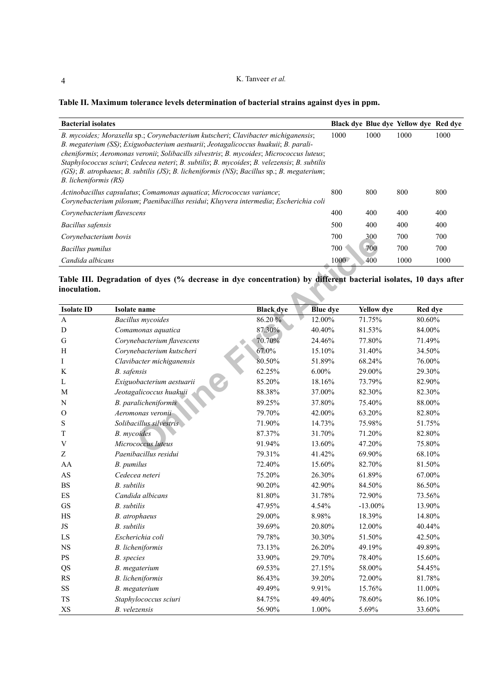# K. Tanveer *et al.*

# <span id="page-3-0"></span>**Table II. Maximum tolerance levels determination of bacterial strains against dyes in ppm.**

| <b>Bacterial isolates</b>                                                                                                                                                                                                                                                                                                                                                                                                                                                                 |      |      | Black dye Blue dye Yellow dye Red dye |      |
|-------------------------------------------------------------------------------------------------------------------------------------------------------------------------------------------------------------------------------------------------------------------------------------------------------------------------------------------------------------------------------------------------------------------------------------------------------------------------------------------|------|------|---------------------------------------|------|
| B. mycoides; Moraxella sp.; Corynebacterium kutscheri; Clavibacter michiganensis;<br>B. megaterium (SS); Exiguobacterium aestuarii; Jeotagalicoccus huakuii; B. parali-<br>cheniformis; Aeromonas veronii; Solibacills silvestris; B. mycoides; Micrococcus luteus;<br>Staphylococcus sciuri; Cedecea neteri; B. subtilis; B. mycoides; B. velezensis; B. subtilis<br>(GS); B. atrophaeus; B. subtilis (JS); B. licheniformis (NS); Bacillus sp.; B. megaterium;<br>B. licheniformis (RS) | 1000 | 1000 | 1000                                  | 1000 |
| Actinobacillus capsulatus; Comamonas aquatica; Micrococcus variance;<br>Corynebacterium pilosum; Paenibacillus residui; Kluyvera intermedia; Escherichia coli                                                                                                                                                                                                                                                                                                                             | 800  | 800  | 800                                   | 800  |
| Corynebacterium flavescens                                                                                                                                                                                                                                                                                                                                                                                                                                                                | 400  | 400  | 400                                   | 400  |
| Bacillus safensis                                                                                                                                                                                                                                                                                                                                                                                                                                                                         | 500  | 400  | 400                                   | 400  |
| Corvnebacterium bovis                                                                                                                                                                                                                                                                                                                                                                                                                                                                     | 700  | 300  | 700                                   | 700  |
| <b>Bacillus pumilus</b>                                                                                                                                                                                                                                                                                                                                                                                                                                                                   | 700  | 700  | 700                                   | 700  |
| Candida albicans                                                                                                                                                                                                                                                                                                                                                                                                                                                                          | 1000 | 400  | 1000                                  | 1000 |

### <span id="page-3-1"></span>**Table III. Degradation of dyes (% decrease in dye concentration) by different bacterial isolates, 10 days after inoculation.**

| Corynebacterium bovis    |                                                                                                                 |                  | 700             | 300               | 700<br>700   |
|--------------------------|-----------------------------------------------------------------------------------------------------------------|------------------|-----------------|-------------------|--------------|
| <b>Bacillus</b> pumilus  |                                                                                                                 |                  | 700             | 700               | 700<br>700   |
| Candida albicans         |                                                                                                                 |                  | 1000            | 400               | 1000<br>1000 |
| inoculation.             | Table III. Degradation of dyes (% decrease in dye concentration) by different bacterial isolates, 10 days after |                  |                 |                   |              |
| <b>Isolate ID</b>        | Isolate name                                                                                                    | <b>Black</b> dye | <b>Blue</b> dye | <b>Yellow</b> dye | Red dye      |
| $\mathbf{A}$             | <b>Bacillus</b> mycoides                                                                                        | 86.20%           | 12.00%          | 71.75%            | 80.60%       |
| D                        | Comamonas aquatica                                                                                              | 87.30%           | 40.40%          | 81.53%            | 84.00%       |
| G                        | Corynebacterium flavescens                                                                                      | 70.70%           | 24.46%          | 77.80%            | 71.49%       |
| H                        | Corynebacterium kutscheri                                                                                       | 67.0%            | 15.10%          | 31.40%            | 34.50%       |
| Ι                        | Clavibacter michiganensis                                                                                       | 80.50%           | 51.89%          | 68.24%            | 76.00%       |
| K                        | B. safensis                                                                                                     | 62.25%           | $6.00\%$        | 29.00%            | 29.30%       |
| L                        | Exiguobacterium aestuarii                                                                                       | 85.20%           | 18.16%          | 73.79%            | 82.90%       |
| М                        | Jeotagalicoccus huakuii                                                                                         | 88.38%           | 37.00%          | 82.30%            | 82.30%       |
| N                        | B. paralicheniformis                                                                                            | 89.25%           | 37.80%          | 75.40%            | 88.00%       |
| $\Omega$                 | Aeromonas veronii                                                                                               | 79.70%           | 42.00%          | 63.20%            | 82.80%       |
| S                        | Solibacillus silvestris                                                                                         | 71.90%           | 14.73%          | 75.98%            | 51.75%       |
| $\mathbf T$              | <b>B.</b> mycoides                                                                                              | 87.37%           | 31.70%          | 71.20%            | 82.80%       |
| $\mathbf V$              | Micrococcus luteus                                                                                              | 91.94%           | 13.60%          | 47.20%            | 75.80%       |
| Z                        | Paenibacillus residui                                                                                           | 79.31%           | 41.42%          | 69.90%            | 68.10%       |
| AA                       | B. pumilus                                                                                                      | 72.40%           | 15.60%          | 82.70%            | 81.50%       |
| AS                       | Cedecea neteri                                                                                                  | 75.20%           | 26.30%          | 61.89%            | 67.00%       |
| <b>BS</b>                | <b>B.</b> subtilis                                                                                              | 90.20%           | 42.90%          | 84.50%            | 86.50%       |
| $\mathop{\hbox{\rm ES}}$ | Candida albicans                                                                                                | 81.80%           | 31.78%          | 72.90%            | 73.56%       |
| GS                       | <b>B.</b> subtilis                                                                                              | 47.95%           | 4.54%           | $-13.00\%$        | 13.90%       |
| HS                       | B. atrophaeus                                                                                                   | 29.00%           | 8.98%           | 18.39%            | 14.80%       |
| $\rm JS$                 | <b>B.</b> subtilis                                                                                              | 39.69%           | 20.80%          | 12.00%            | 40.44%       |
| ${\rm LS}$               | Escherichia coli                                                                                                | 79.78%           | 30.30%          | 51.50%            | 42.50%       |
| $_{\rm NS}$              | B. licheniformis                                                                                                | 73.13%           | 26.20%          | 49.19%            | 49.89%       |
| $\mathbf{P}\mathbf{S}$   | B. species                                                                                                      | 33.90%           | 29.70%          | 78.40%            | 15.60%       |
| QS                       | B. megaterium                                                                                                   | 69.53%           | 27.15%          | 58.00%            | 54.45%       |
| RS                       | B. licheniformis                                                                                                | 86.43%           | 39.20%          | 72.00%            | 81.78%       |
| $\rm SS$                 | B. megaterium                                                                                                   | 49.49%           | 9.91%           | 15.76%            | 11.00%       |
| <b>TS</b>                | Staphylococcus sciuri                                                                                           | 84.75%           | 49.40%          | 78.60%            | 86.10%       |
| XS                       | B. velezensis                                                                                                   | 56.90%           | 1.00%           | 5.69%             | 33.60%       |

4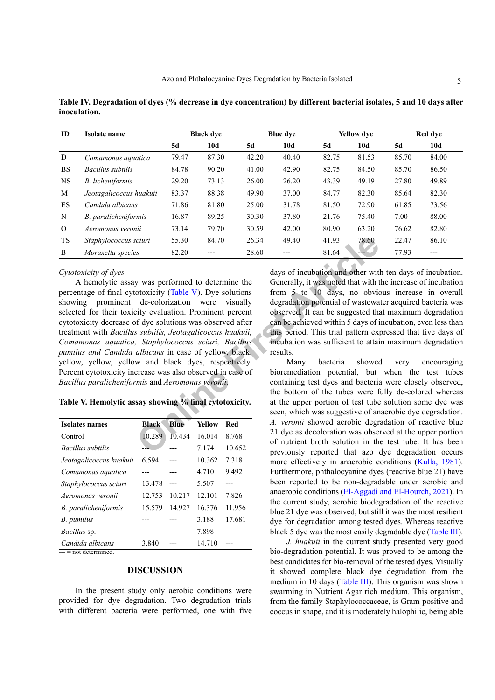<span id="page-4-0"></span>**Table IV. Degradation of dyes (% decrease in dye concentration) by different bacterial isolates, 5 and 10 days after inoculation.**

| ID        | Isolate name            |       | <b>Black dve</b> |       | <b>Blue dye</b> |       | <b>Yellow</b> dye |       | Red dye |
|-----------|-------------------------|-------|------------------|-------|-----------------|-------|-------------------|-------|---------|
|           |                         | 5d    | 10d              | 5d    | 10d             | 5d    | 10d               | 5d    | 10d     |
| D         | Comamonas aquatica      | 79.47 | 87.30            | 42.20 | 40.40           | 82.75 | 81.53             | 85.70 | 84.00   |
| <b>BS</b> | Bacillus subtilis       | 84.78 | 90.20            | 41.00 | 42.90           | 82.75 | 84.50             | 85.70 | 86.50   |
| <b>NS</b> | B. licheniformis        | 29.20 | 73.13            | 26.00 | 26.20           | 43.39 | 49.19             | 27.80 | 49.89   |
| M         | Jeotagalicoccus huakuii | 83.37 | 88.38            | 49.90 | 37.00           | 84.77 | 82.30             | 85.64 | 82.30   |
| <b>ES</b> | Candida albicans        | 71.86 | 81.80            | 25.00 | 31.78           | 81.50 | 72.90             | 61.85 | 73.56   |
| N         | B. paralicheniformis    | 16.87 | 89.25            | 30.30 | 37.80           | 21.76 | 75.40             | 7.00  | 88.00   |
| $\Omega$  | Aeromonas veronii       | 73.14 | 79.70            | 30.59 | 42.00           | 80.90 | 63.20             | 76.62 | 82.80   |
| <b>TS</b> | Staphylococcus sciuri   | 55.30 | 84.70            | 26.34 | 49.40           | 41.93 | 78.60             | 22.47 | 86.10   |
| B         | Moraxella species       | 82.20 | ---              | 28.60 | ---             | 81.64 | ---               | 77.93 | ---     |

#### *Cytotoxicity of dyes*

Containing the based of the based of the based of the seen, which was spectrally and the seen allows the seen allows the seen allows the seen allows the colorization were visually degradation potential of wastewa displayed A hemolytic assay was performed to determine the percentage of final cytotoxicity (Table V). Dye solutions showing prominent de-colorization were visually selected for their toxicity evaluation. Prominent percent cytotoxicity decrease of dye solutions was observed after treatment with *Bacillus subtilis, Jeotagalicoccus huakuii, Comamonas aquatica, Staphylococcus sciuri, Bacillus pumilus and Candida albicans* in case of yellow, black, yellow, yellow, yellow and black dyes, respectively. Percent cytotoxicity increase was also observed in case of *Bacillus paralicheniformis* and *Aeromonas veronii.*

# <span id="page-4-1"></span>**Table V. Hemolytic assay showing % final cytotoxicity.**

| <b>Isolates names</b>    | <b>Black</b> | Blue   | <b>Yellow</b> | <b>Red</b> |
|--------------------------|--------------|--------|---------------|------------|
| Control                  | 10.289       | 10.434 | 16.014        | 8.768      |
| <i>Bacillus subtilis</i> |              |        | 7.174         | 10.652     |
| Jeotagalicoccus huakuii  | 6.594        |        | 10.362        | 7.318      |
| Comamonas aquatica       |              |        | 4.710         | 9.492      |
| Staphylococcus sciuri    | 13.478       | ---    | 5.507         |            |
| Aeromonas veronii        | 12.753       | 10.217 | 12.101        | 7.826      |
| B. paralicheniformis     | 15.579       | 14.927 | 16.376        | 11.956     |
| B. pumilus               |              |        | 3.188         | 17.681     |
| <i>Bacillus</i> sp.      |              |        | 7.898         |            |
| Candida albicans         | 3.840        |        | 14.710        |            |
| $---$ = not determined   |              |        |               |            |

# **DISCUSSION**

In the present study only aerobic conditions were provided for dye degradation. Two degradation trials with different bacteria were performed, one with five

days of incubation and other with ten days of incubation. Generally, it was noted that with the increase of incubation from 5 to 10 days, no obvious increase in overall degradation potential of wastewater acquired bacteria was observed. It can be suggested that maximum degradation can be achieved within 5 days of incubation, even less than this period. This trial pattern expressed that five days of incubation was sufficient to attain maximum degradation results.

Many bacteria showed very encouraging bioremediation potential, but when the test tubes containing test dyes and bacteria were closely observed, the bottom of the tubes were fully de-colored whereas at the upper portion of test tube solution some dye was seen, which was suggestive of anaerobic dye degradation. *A. veronii* showed aerobic degradation of reactive blue 21 dye as decoloration was observed at the upper portion of nutrient broth solution in the test tube. It has been previously reported that azo dye degradation occurs more effectively in anaerobic conditions ([Kulla, 1981](#page-7-9)). Furthermore, phthalocyanine dyes (reactive blue 21) have been reported to be non-degradable under aerobic and anaerobic conditions [\(El-Aggadi and El-Hourch, 2021\)](#page-6-1). In the current study, aerobic biodegradation of the reactive blue 21 dye was observed, but still it was the most resilient dye for degradation among tested dyes. Whereas reactive black 5 dye was the most easily degradable dye [\(Table III](#page-3-1)).

*J. huakuii* in the current study presented very good bio-degradation potential. It was proved to be among the best candidates for bio-removal of the tested dyes. Visually it showed complete black dye degradation from the medium in 10 days ([Table III](#page-3-1)). This organism was shown swarming in Nutrient Agar rich medium. This organism, from the family Staphylococcaceae, is Gram-positive and coccus in shape, and it is moderately halophilic, being able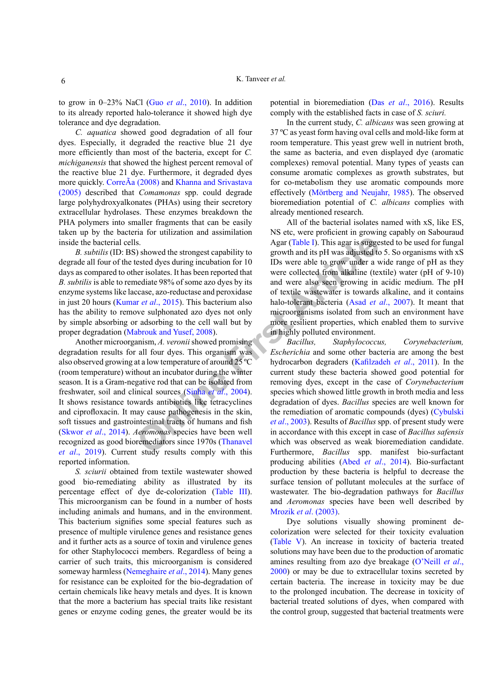to grow in 0–23% NaCl (Guo *et al*., 2010). In addition to its already reported halo-tolerance it showed high dye tolerance and dye degradation.

*C. aquatica* showed good degradation of all four dyes. Especially, it degraded the reactive blue 21 dye more efficiently than most of the bacteria, except for *C. michiganensis* that showed the highest percent removal of the reactive blue 21 dye. Furthermore, it degraded dyes more quickly. CorreÃa (2008) and [Khanna and Srivastava](#page-7-10) [\(2005\)](#page-7-10) described that *Comamonas* spp. could degrade large polyhydroxyalkonates (PHAs) using their secretory extracellular hydrolases. These enzymes breakdown the PHA polymers into smaller fragments that can be easily taken up by the bacteria for utilization and assimilation inside the bacterial cells.

*B. subtilis* (ID: BS) showed the strongest capability to degrade all four of the tested dyes during incubation for 10 days as compared to other isolates. It has been reported that *B. subtilis* is able to remediate 98% of some azo dyes by its enzyme systems like laccase, azo-reductase and peroxidase in just 20 hours (Kumar *et al*., 2015). This bacterium also has the ability to remove sulphonated azo dyes not only by simple absorbing or adsorbing to the cell wall but by proper degradation (Mabrouk and Yusef, 2008).

S. Agar (Table 1). This agar is sugge<br>
solution to the strongest capability to<br>
the strongest capability to<br>
the strong incubation for 10 IDs were able to grow under a vertical<br>
second the strong incredibinal were collect Another microorganism, *A. veronii* showed promising degradation results for all four dyes. This organism was also observed growing at a low temperature of around 25 ºC (room temperature) without an incubator during the winter season. It is a Gram-negative rod that can be isolated from freshwater, soil and clinical sources (Sinha *et al*., 2004). It shows resistance towards antibiotics like tetracyclines and ciprofloxacin. It may cause pathogenesis in the skin, soft tissues and gastrointestinal tracts of humans and fish ([Skwor](#page-8-6) *et al*., 2014). *Aeromonas* species have been well recognized as good bioremediators since 1970s (Thanavel *et al*[., 2019](#page-8-3)). Current study results comply with this reported information.

*S. sciurii* obtained from textile wastewater showed good bio-remediating ability as illustrated by its percentage effect of dye de-colorization [\(Table III](#page-3-1)). This microorganism can be found in a number of hosts including animals and humans, and in the environment. This bacterium signifies some special features such as presence of multiple virulence genes and resistance genes and it further acts as a source of toxin and virulence genes for other Staphylococci members. Regardless of being a carrier of such traits, this microorganism is considered someway harmless (Nemeghaire *et al*., 2014). Many genes for resistance can be exploited for the bio-degradation of certain chemicals like heavy metals and dyes. It is known that the more a bacterium has special traits like resistant genes or enzyme coding genes, the greater would be its

potential in bioremediation (Das *et al*[., 2016](#page-6-7)). Results comply with the established facts in case of *S. sciuri.*

In the current study, *C. albicans* was seen growing at 37 ºC as yeast form having oval cells and mold-like form at room temperature. This yeast grew well in nutrient broth, the same as bacteria, and even displayed dye (aromatic complexes) removal potential. Many types of yeasts can consume aromatic complexes as growth substrates, but for co-metabolism they use aromatic compounds more effectively (Mörtberg and Neujahr, 1985). The observed bioremediation potential of *C. albicans* complies with already mentioned research.

All of the bacterial isolates named with xS, like ES, NS etc, were proficient in growing capably on Sabouraud Agar (Table I). This agar is suggested to be used for fungal growth and its pH was adjusted to 5. So organisms with xS IDs were able to grow under a wide range of pH as they were collected from alkaline (textile) water (pH of 9-10) and were also seen growing in acidic medium. The pH of textile wastewater is towards alkaline, and it contains halo-tolerant bacteria (Asad *et al*., 2007). It meant that microorganisms isolated from such an environment have more resilient properties, which enabled them to survive in highly polluted environment.

*Bacillus, Staphylococcus, Corynebacterium, Escherichia* and some other bacteria are among the best hydrocarbon degraders ([Kafilzadeh](#page-7-14) *et al*., 2011). In the current study these bacteria showed good potential for removing dyes, except in the case of *Corynebacterium* species which showed little growth in broth media and less degradation of dyes. *Bacillus* species are well known for the remediation of aromatic compounds (dyes) ([Cybulski](#page-6-9)  *et al*., 2003). Results of *Bacillus* spp. of present study were in accordance with this except in case of *Bacillus safensis* which was observed as weak bioremediation candidate. Furthermore, *Bacillus* spp. manifest bio-surfactant producing abilities (Abed *et al*[., 2014](#page-6-10)). Bio-surfactant production by these bacteria is helpful to decrease the surface tension of pollutant molecules at the surface of wastewater. The bio-degradation pathways for *Bacillus*  and *Aeromonas* species have been well described by [Mrozik](#page-7-15) *et al*. (2003).

Dye solutions visually showing prominent decolorization were selected for their toxicity evaluation ([Table V](#page-4-1)). An increase in toxicity of bacteria treated solutions may have been due to the production of aromatic amines resulting from azo dye breakage (O'Neill *et al*., 2000) or may be due to extracellular toxins secreted by certain bacteria. The increase in toxicity may be due to the prolonged incubation. The decrease in toxicity of bacterial treated solutions of dyes, when compared with the control group, suggested that bacterial treatments were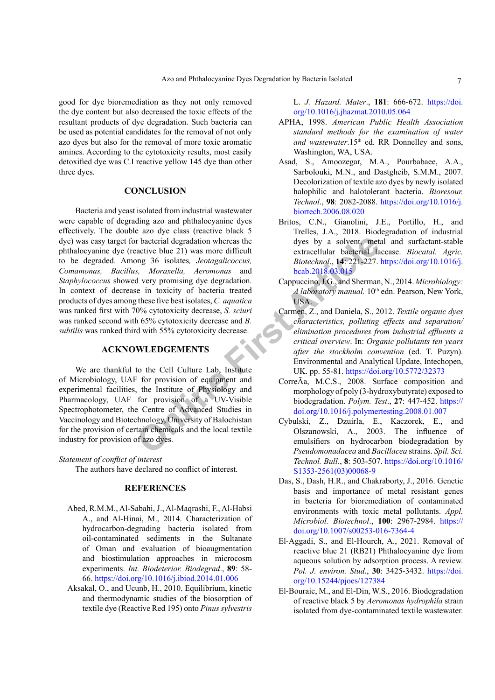good for dye bioremediation as they not only removed the dye content but also decreased the toxic effects of the resultant products of dye degradation. Such bacteria can be used as potential candidates for the removal of not only azo dyes but also for the removal of more toxic aromatic amines. According to the cytotoxicity results, most easily detoxified dye was C.I reactive yellow 145 dye than other three dyes.

# **CONCLUSION**

Fractive blue 21) was more difficult<br>
active blue 21) was more difficult<br>
only as more difficult<br>
or active blue 21) was more difficult<br>
or active extracellular bacterial a<br>
d very promising dye degradation.<br>
S. Morazella, Bacteria and yeast isolated from industrial wastewater were capable of degrading azo and phthalocyanine dyes effectively. The double azo dye class (reactive black 5 dye) was easy target for bacterial degradation whereas the phthalocyanine dye (reactive blue 21) was more difficult to be degraded. Among 36 isolates*, Jeotagalicoccus, Comamonas, Bacillus, Moraxella, Aeromonas* and *Staphylococcus* showed very promising dye degradation. In context of decrease in toxicity of bacteria treated products of dyes among these five best isolates, *C. aquatica* was ranked first with 70% cytotoxicity decrease, *S. sciuri* was ranked second with 65% cytotoxicity decrease and *B. subtilis* was ranked third with 55% cytotoxicity decrease.

# **ACKNOWLEDGEMENTS**

We are thankful to the Cell Culture Lab, Institute of Microbiology, UAF for provision of equipment and experimental facilities, the Institute of Physiology and Pharmacology, UAF for provision of a UV-Visible Spectrophotometer, the Centre of Advanced Studies in Vaccinology and Biotechnology, University of Balochistan for the provision of certain chemicals and the local textile industry for provision of azo dyes.

#### *Statement of conflict of interest*

The authors have declared no conflict of interest.

# **REFERENCES**

- <span id="page-6-10"></span>Abed, R.M.M., Al-Sabahi, J., Al-Maqrashi, F., Al-Habsi A., and Al-Hinai, M., 2014. Characterization of hydrocarbon-degrading bacteria isolated from oil-contaminated sediments in the Sultanate of Oman and evaluation of bioaugmentation and biostimulation approaches in microcosm experiments. *Int. Biodeterior. Biodegrad*., **89**: 58- 66.<https://doi.org/10.1016/j.ibiod.2014.01.006>
- <span id="page-6-5"></span>Aksakal, O., and Ucunb, H., 2010. Equilibrium, kinetic and thermodynamic studies of the biosorption of textile dye (Reactive Red 195) onto *Pinus sylvestris*

L. *J. Hazard. Mater*., **181**: 666-672. [https://doi.](https://doi.org/10.1016/j.jhazmat.2010.05.064) [org/10.1016/j.jhazmat.2010.05.064](https://doi.org/10.1016/j.jhazmat.2010.05.064)

- <span id="page-6-3"></span>APHA, 1998. *American Public Health Association standard methods for the examination of water*  and wastewater.15<sup>th</sup> ed. RR Donnelley and sons, Washington, WA, USA.
- <span id="page-6-8"></span>Asad, S., Amoozegar, M.A., Pourbabaee, A.A., Sarbolouki, M.N., and Dastgheib, S.M.M., 2007. Decolorization of textile azo dyes by newly isolated halophilic and halotolerant bacteria. *Bioresour. Technol*., **98**: 2082-2088. [https://doi.org/10.1016/j.](https://doi.org/10.1016/j.biortech.2006.08.020) [biortech.2006.08.020](https://doi.org/10.1016/j.biortech.2006.08.020)
- <span id="page-6-2"></span>Britos, C.N., Gianolini, J.E., Portillo, H., and Trelles, J.A., 2018. Biodegradation of industrial dyes by a solvent, metal and surfactant-stable extracellular bacterial laccase. *Biocatal. Agric. Biotechnol*., **14**: 221-227. [https://doi.org/10.1016/j.](https://doi.org/10.1016/j.bcab.2018.03.015) bcab.2018.03.015
- <span id="page-6-4"></span>Cappuccino, J.G., and Sherman, N., 2014. *Microbiology: A laboratory manual.* 10<sup>th</sup> edn. Pearson, New York, USA.
- <span id="page-6-0"></span>Carmen, Z., and Daniela, S., 2012. *Textile organic dyes characteristics, polluting effects and separation/ elimination procedures from industrial effluents a critical overview*. In: *Organic pollutants ten years after the stockholm convention* (ed. T. Puzyn). Environmental and Analytical Update, Intechopen, UK. pp. 55-81. <https://doi.org/10.5772/32373>
- CorreÃa, M.C.S., 2008. Surface composition and morphology of poly (3-hydroxybutyrate) exposed to biodegradation. *Polym. Test*., **27**: 447-452. [https://](https://doi.org/10.1016/j.polymertesting.2008.01.007) [doi.org/10.1016/j.polymertesting.2008.01.007](https://doi.org/10.1016/j.polymertesting.2008.01.007)
- <span id="page-6-9"></span>Cybulski, Z., Dzuirla, E., Kaczorek, E., and Olszanowski, A., 2003. The influence of emulsifiers on hydrocarbon biodegradation by *Pseudomonadacea* and *Bacillacea* strains. *Spil. Sci. Technol. Bull*., **8**: 503-507. [https://doi.org/10.1016/](https://doi.org/10.1016/S1353-2561(03)00068-9) [S1353-2561\(03\)00068-9](https://doi.org/10.1016/S1353-2561(03)00068-9)
- <span id="page-6-7"></span>Das, S., Dash, H.R., and Chakraborty, J., 2016. Genetic basis and importance of metal resistant genes in bacteria for bioremediation of contaminated environments with toxic metal pollutants. *Appl. Microbiol. Biotechnol*., **100**: 2967-2984. [https://](https://doi.org/10.1007/s00253-016-7364-4) [doi.org/10.1007/s00253-016-7364-4](https://doi.org/10.1007/s00253-016-7364-4)
- <span id="page-6-1"></span>El-Aggadi, S., and El-Hourch, A., 2021. Removal of reactive blue 21 (RB21) Phthalocyanine dye from aqueous solution by adsorption process. A review. *Pol. J. environ. Stud*., **30**: 3425-3432. [https://doi.](https://doi.org/10.15244/pjoes/127384) [org/10.15244/pjoes/127384](https://doi.org/10.15244/pjoes/127384)
- <span id="page-6-6"></span>El-Bouraie, M., and El-Din, W.S., 2016. Biodegradation of reactive black 5 by *Aeromonas hydrophila* strain isolated from dye-contaminated textile wastewater.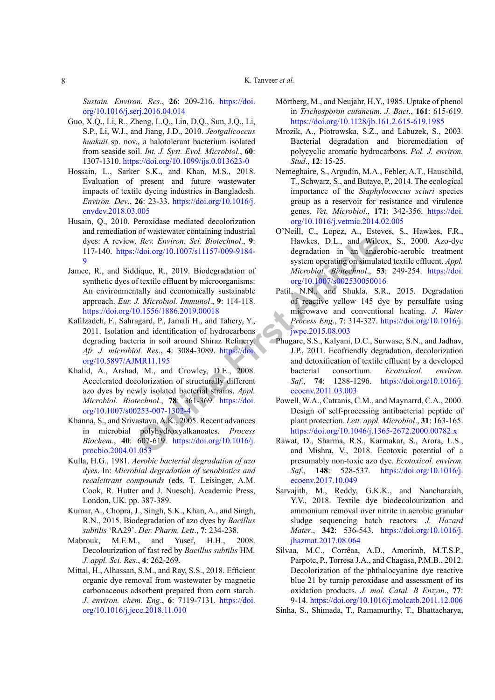*Sustain. Environ. Res*., **26**: 209-216. [https://doi.](https://doi.org/10.1016/j.serj.2016.04.014) [org/10.1016/j.serj.2016.04.014](https://doi.org/10.1016/j.serj.2016.04.014)

- Guo, X.Q., Li, R., Zheng, L.Q., Lin, D.Q., Sun, J.Q., Li, S.P., Li, W.J., and Jiang, J.D., 2010. *Jeotgalicoccus huakuii* sp. nov., a halotolerant bacterium isolated from seaside soil. *Int. J. Syst. Evol. Microbiol*., **60**: 1307-1310. <https://doi.org/10.1099/ijs.0.013623-0>
- <span id="page-7-1"></span>Hossain, L., Sarker S.K., and Khan, M.S., 2018. Evaluation of present and future wastewater impacts of textile dyeing industries in Bangladesh. *Environ. Dev*., **26**: 23-33. [https://doi.org/10.1016/j.](https://doi.org/10.1016/j.envdev.2018.03.005) [envdev.2018.03.005](https://doi.org/10.1016/j.envdev.2018.03.005)
- Husain, Q., 2010. Peroxidase mediated decolorization and remediation of wastewater containing industrial dyes: A review. *Rev. Environ. Sci. Biotechnol*., **9**: 117-140. https://doi.org/10.1007/s11157-009-9184- [9](https://doi.org/10.1007/s11157-009-9184-9)
- <span id="page-7-4"></span>Jamee, R., and Siddique, R., 2019. Biodegradation of synthetic dyes of textile effluent by microorganisms: An environmentally and economically sustainable approach. *Eur. J. Microbiol. Immunol*., **9**: 114-118. <https://doi.org/10.1556/1886.2019.00018>
- <span id="page-7-14"></span>Kafilzadeh, F., Sahragard, P., Jamali H., and Tahery, Y., 2011. Isolation and identification of hydrocarbons degrading bacteria in soil around Shiraz Refinery. *Afr. J. microbiol. Res*., **4**: 3084-3089. https://doi. [org/10.5897/AJMR11.195](https://doi.org/10.5897/AJMR11.195)
- <span id="page-7-7"></span>Khalid, A., Arshad, M., and Crowley, D.E., 2008. Accelerated decolorization of structurally different azo dyes by newly isolated bacterial strains. *Appl. Microbiol. Biotechnol*., **78**: 361-369. https://doi. [org/10.1007/s00253-007-1302-4](https://doi.org/10.1007/s00253-007-1302-4)
- <span id="page-7-10"></span>Khanna, S., and Srivastava, A.K., 2005. Recent advances in microbial polyhydroxyalkanoates. *Process Biochem*., **40**: 607-619. https://doi.org/10.1016/j. [procbio.2004.01.053](https://doi.org/10.1016/j.procbio.2004.01.053)
- <span id="page-7-9"></span>Kulla, H.G., 1981. *Aerobic bacterial degradation of azo dyes*. In: *Microbial degradation of xenobiotics and recalcitrant compounds* (eds. T. Leisinger, A.M. Cook, R. Hutter and J. Nuesch). Academic Press, London, UK. pp. 387-389.
- <span id="page-7-11"></span>Kumar, A., Chopra, J., Singh, S.K., Khan, A., and Singh, R.N., 2015. Biodegradation of azo dyes by *Bacillus subtilis* 'RA29'. *Der. Pharm. Lett*., **7**: 234-238.
- <span id="page-7-12"></span>Mabrouk, M.E.M., and Yusef, H.H., 2008. Decolourization of fast red by *Bacillus subtilis* HM*. J. appl. Sci. Res*., **4**: 262-269.
- <span id="page-7-13"></span><span id="page-7-5"></span>Mittal, H., Alhassan, S.M., and Ray, S.S., 2018. Efficient organic dye removal from wastewater by magnetic carbonaceous adsorbent prepared from corn starch. *J. environ. chem. Eng*., **6**: 7119-7131. [https://doi.](https://doi.org/10.1016/j.jece.2018.11.010) [org/10.1016/j.jece.2018.11.010](https://doi.org/10.1016/j.jece.2018.11.010)
- Mörtberg, M., and Neujahr, H.Y., 1985. Uptake of phenol in *Trichosporon cutaneum*. *J. Bact*., **161**: 615-619. <https://doi.org/10.1128/jb.161.2.615-619.1985>
- <span id="page-7-15"></span>Mrozik, A., Piotrowska, S.Z., and Labuzek, S., 2003. Bacterial degradation and bioremediation of polycyclic aromatic hydrocarbons. *Pol. J. environ. Stud*., **12**: 15-25.
- Nemeghaire, S., Argudín, M.A., Febler, A.T., Hauschild, T., Schwarz, S., and Butaye, P., 2014. The ecological importance of the *Staphylococcus sciuri* species group as a reservoir for resistance and virulence genes. *Vet. Microbiol*., **171**: 342-356. [https://doi.](https://doi.org/10.1016/j.vetmic.2014.02.005) [org/10.1016/j.vetmic.2014.02.005](https://doi.org/10.1016/j.vetmic.2014.02.005)
- O'Neill, C., Lopez, A., Esteves, S., Hawkes, F.R., Hawkes, D.L., and Wilcox, S., 2000. Azo-dye degradation in an anaerobic-aerobic treatment system operating on simulated textile effluent. *Appl. Microbiol. Biotechnol*., **53**: 249-254. [https://doi.](https://doi.org/10.1007/s002530050016) org/10.1007/s002530050016
- <span id="page-7-8"></span><span id="page-7-6"></span><span id="page-7-3"></span><span id="page-7-2"></span><span id="page-7-0"></span>Patil, N.N., and Shukla, S.R., 2015. Degradation of reactive yellow 145 dye by persulfate using microwave and conventional heating. *J. Water Process Eng*., **7**: 314-327. [https://doi.org/10.1016/j.](https://doi.org/10.1016/j.jwpe.2015.08.003) jwpe.2015.08.003
- *Rev. E[n](https://doi.org/10.1016/j.procbio.2004.01.053)viron. Sci. Biot[e](https://doi.org/10.1007/s00253-007-1302-4)chnol.*, 9:<br>
Vdoi.org/10.1007/s11157-009-9184-<br>
degradation in an analytical degradation in an analytical degradation in an analytical degradation of fextile effluen[t](https://doi.org/10.1016/j.jwpe.2015.08.003) by microorganisms:<br>
f textile Phugare, S.S., Kalyani, D.C., Surwase, S.N., and Jadhav, J.P., 2011. Ecofriendly degradation, decolorization and detoxification of textile effluent by a developed bacterial consortium. *Ecotoxicol. environ. Saf*., **74**: 1288-1296. [https://doi.org/10.1016/j.](https://doi.org/10.1016/j.ecoenv.2011.03.003) ecoenv.2011.03.003
	- Powell, W.A., Catranis, C.M., and Maynarrd, C.A., 2000. Design of self-processing antibacterial peptide of plant protection. *Lett. appl. Microbiol*., **31**: 163-165. <https://doi.org/10.1046/j.1365-2672.2000.00782.x>
	- Rawat, D., Sharma, R.S., Karmakar, S., Arora, L.S., and Mishra, V., 2018. Ecotoxic potential of a presumably non-toxic azo dye. *Ecotoxicol. environ. Saf*., **148**: 528-537. [https://doi.org/10.1016/j.](https://doi.org/10.1016/j.ecoenv.2017.10.049) [ecoenv.2017.10.049](https://doi.org/10.1016/j.ecoenv.2017.10.049)
	- Sarvajith, M., Reddy, G.K.K., and Nancharaiah, Y.V., 2018. Textile dye biodecolourization and ammonium removal over nitrite in aerobic granular sludge sequencing batch reactors. *J. Hazard Mater*., **342**: 536-543. [https://doi.org/10.1016/j.](https://doi.org/10.1016/j.jhazmat.2017.08.064) [jhazmat.2017.08.064](https://doi.org/10.1016/j.jhazmat.2017.08.064)
	- Silvaa, M.C., Corrêaa, A.D., Amorimb, M.T.S.P., Parpotc, P., Torresa J.A., and Chagasa, P.M.B., 2012. Decolorization of the phthalocyanine dye reactive blue 21 by turnip peroxidase and assessment of its oxidation products. *J. mol. Catal. B Enzym*., **77**: 9-14. <https://doi.org/10.1016/j.molcatb.2011.12.006>
	- Sinha, S., Shimada, T., Ramamurthy, T., Bhattacharya,